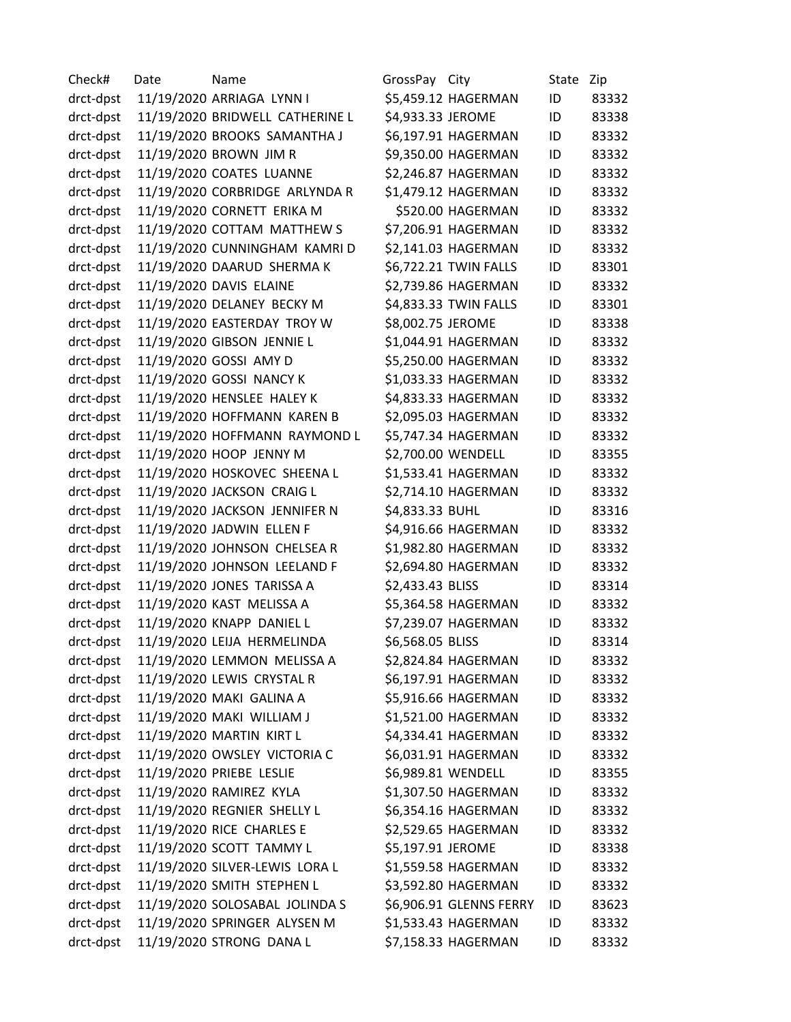Check# Date Name GrossPay City State Zip drct-dpst 11/19/2020 ARRIAGA LYNN I \$5,459.12 HAGERMAN ID 83332 drct-dpst 11/19/2020 BRIDWELL CATHERINE L \$4,933.33 JEROME ID 83338 drct-dpst 11/19/2020 BROOKS SAMANTHA J \$6,197.91 HAGERMAN ID 83332 drct-dpst 11/19/2020 BROWN JIM R \$9,350.00 HAGERMAN ID 83332 drct-dpst 11/19/2020 COATES LUANNE \$2,246.87 HAGERMAN ID 83332 drct-dpst 11/19/2020 CORBRIDGE ARLYNDA R \$1,479.12 HAGERMAN ID 83332 drct-dpst 11/19/2020 CORNETT ERIKA M \$520.00 HAGERMAN ID 83332 drct-dpst 11/19/2020 COTTAM MATTHEW S \$7,206.91 HAGERMAN ID 83332 drct-dpst 11/19/2020 CUNNINGHAM KAMRI D \$2,141.03 HAGERMAN ID 83332 drct-dpst 11/19/2020 DAARUD SHERMA K \$6,722.21 TWIN FALLS ID 83301 drct-dpst 11/19/2020 DAVIS ELAINE \$2,739.86 HAGERMAN ID 83332 drct-dpst 11/19/2020 DELANEY BECKY M \$4,833.33 TWIN FALLS ID 83301 drct-dpst 11/19/2020 EASTERDAY TROY W \$8,002.75 JEROME ID 83338 drct-dpst 11/19/2020 GIBSON JENNIE L \$1,044.91 HAGERMAN ID 83332 drct-dpst 11/19/2020 GOSSI AMY D \$5,250.00 HAGERMAN ID 83332 drct-dpst 11/19/2020 GOSSI NANCY K \$1,033.33 HAGERMAN ID 83332 drct-dpst 11/19/2020 HENSLEE HALEY K \$4,833.33 HAGERMAN ID 83332 drct-dpst 11/19/2020 HOFFMANN KAREN B \$2,095.03 HAGERMAN ID 83332 drct-dpst 11/19/2020 HOFFMANN RAYMOND L \$5,747.34 HAGERMAN ID 83332 drct-dpst 11/19/2020 HOOP JENNY M \$2,700.00 WENDELL ID 83355 drct-dpst 11/19/2020 HOSKOVEC SHEENA L \$1,533.41 HAGERMAN ID 83332 drct-dpst 11/19/2020 JACKSON CRAIG L \$2,714.10 HAGERMAN ID 83332 drct-dpst 11/19/2020 JACKSON JENNIFER N \$4,833.33 BUHL ID 83316 drct-dpst 11/19/2020 JADWIN ELLEN F \$4,916.66 HAGERMAN ID 83332 drct-dpst 11/19/2020 JOHNSON CHELSEA R \$1,982.80 HAGERMAN ID 83332 drct-dpst 11/19/2020 JOHNSON LEELAND F \$2,694.80 HAGERMAN ID 83332 drct-dpst 11/19/2020 JONES TARISSA A \$2,433.43 BLISS ID 83314 drct-dpst 11/19/2020 KAST MELISSA A \$5,364.58 HAGERMAN ID 83332 drct-dpst 11/19/2020 KNAPP DANIEL L \$7,239.07 HAGERMAN ID 83332 drct-dpst 11/19/2020 LEIJA HERMELINDA \$6,568.05 BLISS ID 83314 drct-dpst 11/19/2020 LEMMON MELISSA A \$2,824.84 HAGERMAN ID 83332 drct-dpst 11/19/2020 LEWIS CRYSTAL R \$6,197.91 HAGERMAN ID 83332 drct-dpst 11/19/2020 MAKI GALINA A \$5,916.66 HAGERMAN ID 83332 drct-dpst 11/19/2020 MAKI WILLIAM J \$1,521.00 HAGERMAN ID 83332 drct-dpst 11/19/2020 MARTIN KIRT L \$4,334.41 HAGERMAN ID 83332 drct-dpst 11/19/2020 OWSLEY VICTORIA C \$6,031.91 HAGERMAN ID 83332 drct-dpst 11/19/2020 PRIEBE LESLIE \$6,989.81 WENDELL ID 83355 drct-dpst 11/19/2020 RAMIREZ KYLA \$1,307.50 HAGERMAN ID 83332 drct-dpst 11/19/2020 REGNIER SHELLY L \$6,354.16 HAGERMAN ID 83332 drct-dpst 11/19/2020 RICE CHARLES E \$2,529.65 HAGERMAN ID 83332 drct-dpst 11/19/2020 SCOTT TAMMY L \$5,197.91 JEROME ID 83338 drct-dpst 11/19/2020 SILVER-LEWIS LORA L \$1,559.58 HAGERMAN ID 83332 drct-dpst 11/19/2020 SMITH STEPHEN L \$3,592.80 HAGERMAN ID 83332 drct-dpst 11/19/2020 SOLOSABAL JOLINDA S \$6,906.91 GLENNS FERRY ID 83623 drct-dpst 11/19/2020 SPRINGER ALYSEN M \$1,533.43 HAGERMAN ID 83332 drct-dpst 11/19/2020 STRONG DANA L \$7,158.33 HAGERMAN ID 83332